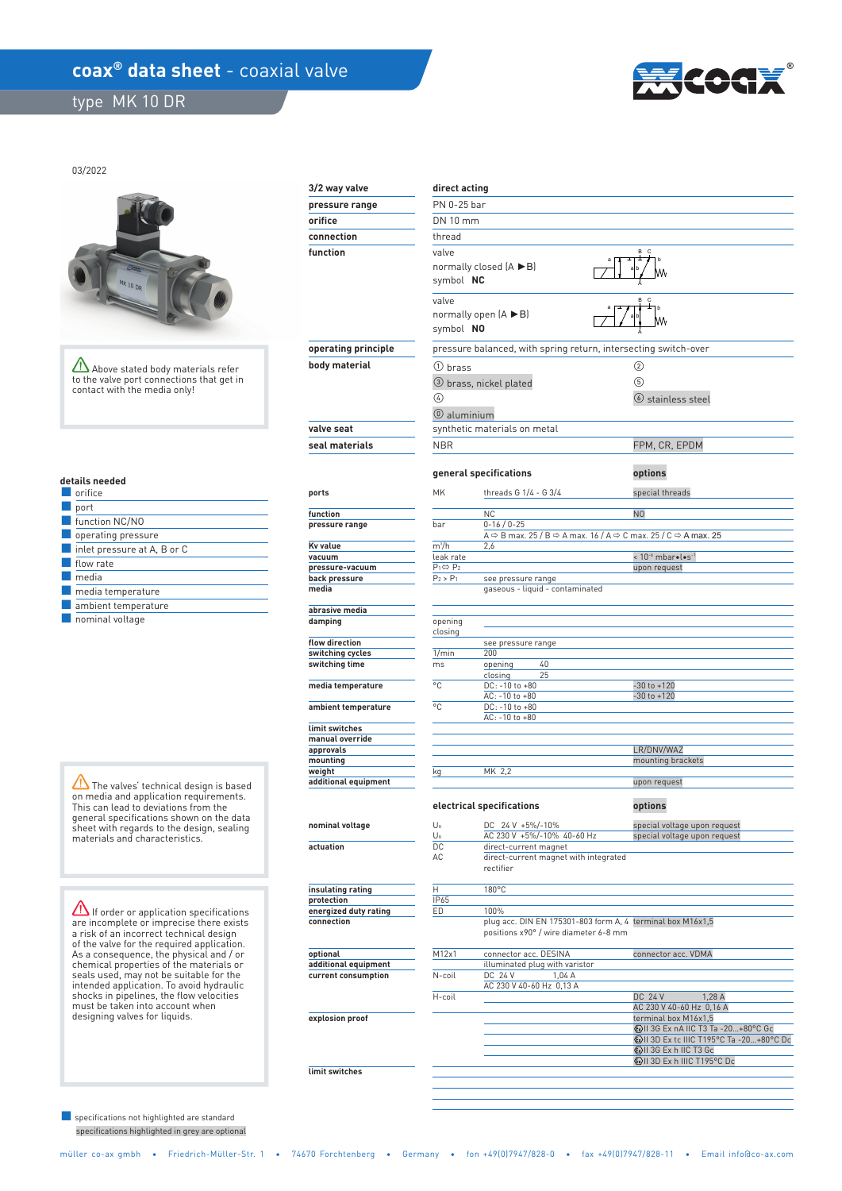## **coax<sup>®</sup> data sheet** - coaxial valve

type MK 10 DR



03/2022



Above stated body materials refer to the valve port connections that get in contact with the media only!

|  |  | details needed |  |
|--|--|----------------|--|
|  |  |                |  |

| orifice                     |
|-----------------------------|
| port                        |
| function NC/NO              |
| operating pressure          |
| inlet pressure at A, B or C |
| flow rate                   |
| media                       |
| media temperature           |
| ambient temperature         |
| nominal voltage             |

The valves' technical design is based on media and application requirements. This can lead to deviations from the general specifications shown on the data sheet with regards to the design, sealing materials and characteristics.

**If order or application specifications** are incomplete or imprecise there exists a risk of an incorrect technical design of the valve for the required application. As a consequence, the physical and / or chemical properties of the materials or seals used, may not be suitable for the intended application. To avoid hydraulic shocks in pipelines, the flow velocities must be taken into account when designing valves for liquids.

 specifications highlighted in grey are optional ■ specifications not highlighted are standard

| 3/2 way valve                   | direct acting              |                                                                                                                                      |                                                     |  |  |  |  |
|---------------------------------|----------------------------|--------------------------------------------------------------------------------------------------------------------------------------|-----------------------------------------------------|--|--|--|--|
| pressure range                  | PN 0-25 bar                |                                                                                                                                      |                                                     |  |  |  |  |
| orifice                         | DN 10 mm                   |                                                                                                                                      |                                                     |  |  |  |  |
| connection                      | thread                     |                                                                                                                                      |                                                     |  |  |  |  |
| function                        | valve                      | в<br>c                                                                                                                               |                                                     |  |  |  |  |
|                                 |                            | normally closed $(A \triangleright B)$                                                                                               |                                                     |  |  |  |  |
|                                 | symbol NC                  |                                                                                                                                      |                                                     |  |  |  |  |
|                                 |                            |                                                                                                                                      |                                                     |  |  |  |  |
|                                 |                            | valve                                                                                                                                |                                                     |  |  |  |  |
|                                 |                            | normally open $(A \triangleright B)$                                                                                                 |                                                     |  |  |  |  |
|                                 | symbol NO                  |                                                                                                                                      |                                                     |  |  |  |  |
| operating principle             |                            | pressure balanced, with spring return, intersecting switch-over                                                                      |                                                     |  |  |  |  |
| body material                   |                            | (2)<br>1) brass                                                                                                                      |                                                     |  |  |  |  |
|                                 |                            |                                                                                                                                      |                                                     |  |  |  |  |
|                                 |                            | 3 brass, nickel plated                                                                                                               | (5)                                                 |  |  |  |  |
|                                 | $\left(\frac{1}{2}\right)$ |                                                                                                                                      | $\circ$ stainless steel                             |  |  |  |  |
|                                 |                            | <b>W</b> aluminium                                                                                                                   |                                                     |  |  |  |  |
| valve seat                      |                            | synthetic materials on metal                                                                                                         |                                                     |  |  |  |  |
| seal materials                  | <b>NBR</b>                 |                                                                                                                                      | FPM, CR, EPDM                                       |  |  |  |  |
|                                 |                            |                                                                                                                                      |                                                     |  |  |  |  |
|                                 |                            | general specifications                                                                                                               | options                                             |  |  |  |  |
|                                 |                            |                                                                                                                                      |                                                     |  |  |  |  |
| ports                           | MK                         | threads G 1/4 - G 3/4                                                                                                                | special threads                                     |  |  |  |  |
| function                        |                            | <b>NC</b>                                                                                                                            | N <sub>0</sub>                                      |  |  |  |  |
| pressure range                  | bar                        | $0 - 16 / 0 - 25$                                                                                                                    |                                                     |  |  |  |  |
| Kv value                        | $m^3/h$                    | A $\Leftrightarrow$ B max. 25 / B $\Leftrightarrow$ A max. 16 / A $\Leftrightarrow$ C max. 25 / C $\Leftrightarrow$ A max. 25<br>2,6 |                                                     |  |  |  |  |
| vacuum                          | leak rate                  |                                                                                                                                      | < 10-6 mbar.l.s-1                                   |  |  |  |  |
| pressure-vacuum                 | $P_1 \Leftrightarrow P_2$  |                                                                                                                                      | upon request                                        |  |  |  |  |
| back pressure                   | $P_2 > P_1$                | see pressure range                                                                                                                   |                                                     |  |  |  |  |
| media                           |                            | gaseous - liquid - contaminated                                                                                                      |                                                     |  |  |  |  |
| abrasive media                  |                            |                                                                                                                                      |                                                     |  |  |  |  |
| damping                         | opening                    |                                                                                                                                      |                                                     |  |  |  |  |
| flow direction                  | closing                    |                                                                                                                                      |                                                     |  |  |  |  |
| switching cycles                | 1/min                      | see pressure range<br>200                                                                                                            |                                                     |  |  |  |  |
| switching time                  | ms                         | 40<br>opening                                                                                                                        |                                                     |  |  |  |  |
|                                 |                            | 25<br>closing                                                                                                                        |                                                     |  |  |  |  |
| media temperature               | °C                         | DC: -10 to +80<br>AC: -10 to +80                                                                                                     | $-30$ to $+120$<br>$-30$ to $+120$                  |  |  |  |  |
| ambient temperature             | °C                         | DC: -10 to +80                                                                                                                       |                                                     |  |  |  |  |
|                                 |                            | AC: -10 to +80                                                                                                                       |                                                     |  |  |  |  |
| limit switches                  |                            |                                                                                                                                      |                                                     |  |  |  |  |
| manual override<br>approvals    |                            |                                                                                                                                      | LR/DNV/WAZ                                          |  |  |  |  |
| mounting                        |                            |                                                                                                                                      | mounting brackets                                   |  |  |  |  |
| weight                          | kg                         | MK 2,2                                                                                                                               |                                                     |  |  |  |  |
| additional equipment            |                            |                                                                                                                                      | upon request                                        |  |  |  |  |
|                                 |                            | electrical specifications                                                                                                            |                                                     |  |  |  |  |
|                                 |                            |                                                                                                                                      | options                                             |  |  |  |  |
| nominal voltage                 | $U_n$                      | DC 24 V +5%/-10%                                                                                                                     | special voltage upon request                        |  |  |  |  |
| actuation                       | Un<br>DC.                  | AC 230 V +5%/-10% 40-60 Hz<br>direct-current magnet                                                                                  | special voltage upon request                        |  |  |  |  |
|                                 | AC                         | direct-current magnet with integrated                                                                                                |                                                     |  |  |  |  |
|                                 |                            | rectifier                                                                                                                            |                                                     |  |  |  |  |
|                                 |                            |                                                                                                                                      |                                                     |  |  |  |  |
| insulating rating<br>protection | н<br>IP65                  | 180°C                                                                                                                                |                                                     |  |  |  |  |
| energized duty rating           | ED                         | 100%                                                                                                                                 |                                                     |  |  |  |  |
| connection                      |                            | plug acc. DIN EN 175301-803 form A, 4 terminal box M16x1,5                                                                           |                                                     |  |  |  |  |
|                                 |                            | positions x90° / wire diameter 6-8 mm                                                                                                |                                                     |  |  |  |  |
| optional                        | M12x1                      | connector acc. DESINA                                                                                                                | connector acc. VDMA                                 |  |  |  |  |
| additional equipment            |                            | illuminated plug with varistor                                                                                                       |                                                     |  |  |  |  |
| current consumption             | N-coil                     | DC 24 V<br>1,04A                                                                                                                     |                                                     |  |  |  |  |
|                                 |                            | AC 230 V 40-60 Hz 0,13 A                                                                                                             |                                                     |  |  |  |  |
|                                 | H-coil                     |                                                                                                                                      | DC 24 V<br>1,28 A<br>AC 230 V 40-60 Hz 0,16 A       |  |  |  |  |
| explosion proof                 |                            |                                                                                                                                      | terminal box M16x1,5                                |  |  |  |  |
|                                 |                            |                                                                                                                                      | 49 II 3G Ex nA IIC T3 Ta - 20+80°C Gc               |  |  |  |  |
|                                 |                            |                                                                                                                                      | 49 II 3D Ex tc IIIC T195°C Ta -20+80°C Dc           |  |  |  |  |
|                                 |                            |                                                                                                                                      | WII 3G Ex h IIC T3 Gc<br>WII 3D Ex h IIIC T195°C Dc |  |  |  |  |
| limit switches                  |                            |                                                                                                                                      |                                                     |  |  |  |  |
|                                 |                            |                                                                                                                                      |                                                     |  |  |  |  |
|                                 |                            |                                                                                                                                      |                                                     |  |  |  |  |
|                                 |                            |                                                                                                                                      |                                                     |  |  |  |  |